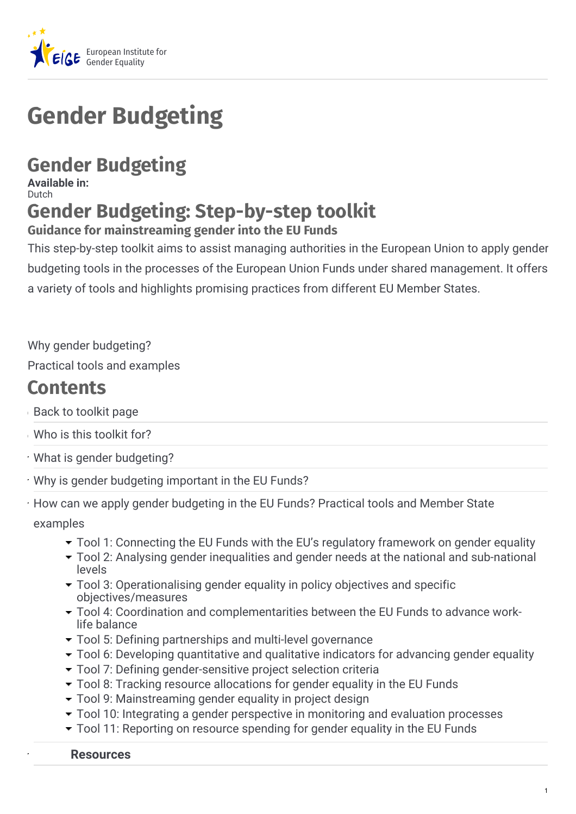

# **Gender Budgeting**

## **Gender Budgeting**

**Available in:** Dutch

## **Gender Budgeting: Step-by-step toolkit**

#### **Guidance for mainstreaming gender into the EU Funds**

This step-by-step toolkit aims to assist managing authorities in the European Union to apply gender budgeting tools in the processes of the European Union Funds under shared management. It offers a variety of tools and highlights promising practices from different EU Member States.

Why gender budgeting?

Practical tools and examples

## **Contents**

- Back to toolkit page
- Who is this toolkit for?
- What is gender budgeting?
- Why is gender budgeting important in the EU Funds?
- How can we apply gender budgeting in the EU Funds? Practical tools and Member State examples
	- Tool 1: Connecting the EU Funds with the EU's regulatory framework on gender equality
	- Tool 2: Analysing gender inequalities and gender needs at the national and sub-national levels
	- Tool 3: Operationalising gender equality in policy objectives and specific objectives/measures
	- Tool 4: Coordination and complementarities between the EU Funds to advance worklife balance
	- Tool 5: Defining partnerships and multi-level governance
	- Tool 6: Developing quantitative and qualitative indicators for advancing gender equality
	- Tool 7: Defining gender-sensitive project selection criteria
	- Tool 8: Tracking resource allocations for gender equality in the EU Funds
	- Tool 9: Mainstreaming gender equality in project design
	- Tool 10: Integrating a gender perspective in monitoring and evaluation processes
	- Tool 11: Reporting on resource spending for gender equality in the EU Funds

#### **Resources**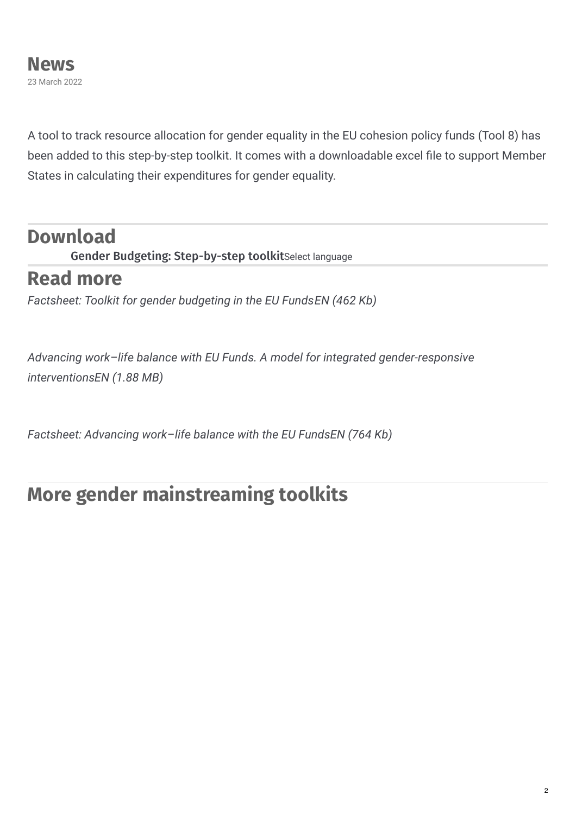A tool to track resource allocation for gender equality in the EU cohesion policy funds (Tool 8) has been added to this step-by-step toolkit. It comes with a downloadable excel file to support Member States in calculating their expenditures for gender equality.

### **Download**

Gender Budgeting: Step-by-step toolkitSelect language

## **Read more**

*Factsheet: Toolkit for gender budgeting in the EU FundsEN (462 Kb)*

*Advancing work–life balance with EU Funds. A model for integrated gender-responsive interventionsEN (1.88 MB)*

*Factsheet: Advancing work–life balance with the EU FundsEN (764 Kb)*

## **More gender mainstreaming toolkits**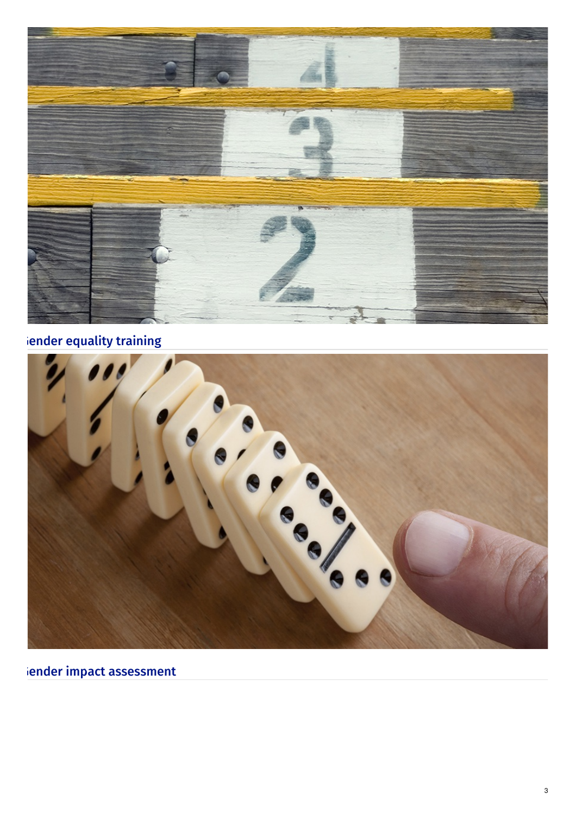

### iender [equality](https://eige.europa.eu/gender-mainstreaming/toolkits/gender-equality-training) training

| <b>V</b><br>e<br>$\mathbf{z}$<br>C<br>G<br>$\bullet$<br>$\bullet$ |
|-------------------------------------------------------------------|
|                                                                   |

iender impact [assessment](https://eige.europa.eu/gender-mainstreaming/toolkits/gender-impact-assessment)